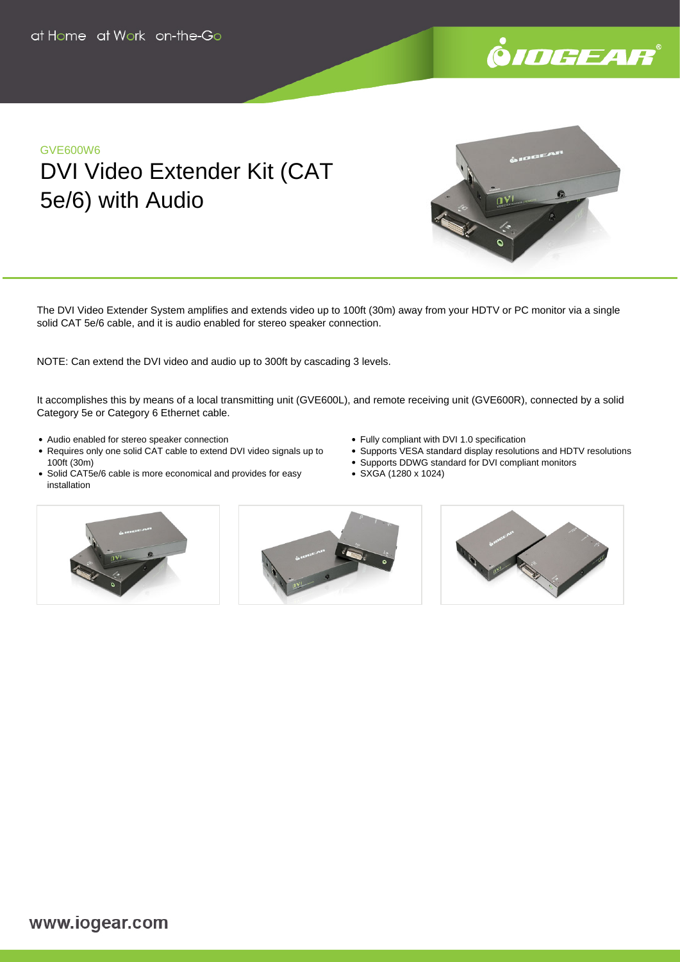

## GVE600W6 DVI Video Extender Kit (CAT 5e/6) with Audio



The DVI Video Extender System amplifies and extends video up to 100ft (30m) away from your HDTV or PC monitor via a single solid CAT 5e/6 cable, and it is audio enabled for stereo speaker connection.

NOTE: Can extend the DVI video and audio up to 300ft by cascading 3 levels.

It accomplishes this by means of a local transmitting unit (GVE600L), and remote receiving unit (GVE600R), connected by a solid Category 5e or Category 6 Ethernet cable.

- Audio enabled for stereo speaker connection
- Requires only one solid CAT cable to extend DVI video signals up to 100ft (30m)
- Solid CAT5e/6 cable is more economical and provides for easy installation
- Fully compliant with DVI 1.0 specification
- Supports VESA standard display resolutions and HDTV resolutions
- Supports DDWG standard for DVI compliant monitors
- SXGA (1280 x 1024)